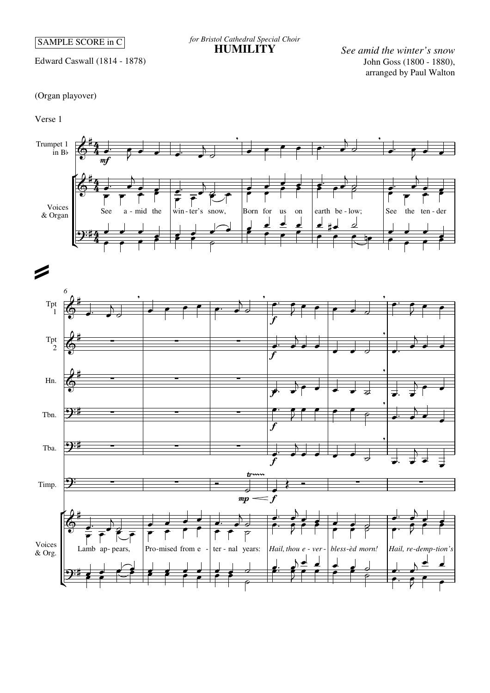SAMPLE SCORE in C

*for Bristol Cathedral Special Choir* **HUMILITY**

John Goss (1800 - 1880), arranged by Paul Walton *See amid the winter's snow*

Edward Caswall (1814 - 1878)

## (Organ playover)

Verse 1

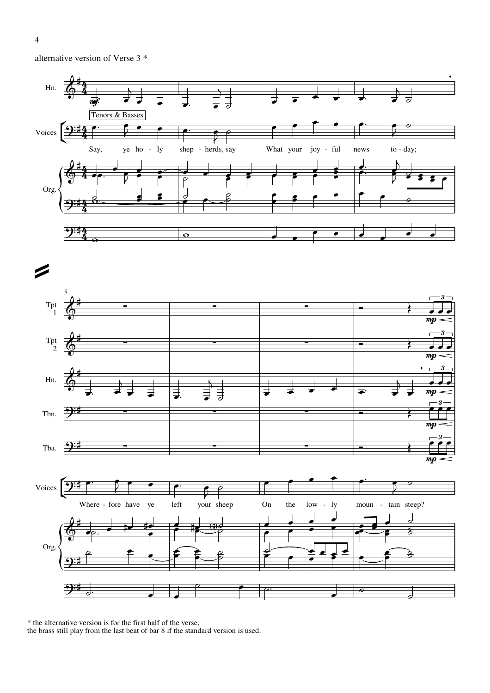alternative version of Verse 3 \*





\* the alternative version is for the first half of the verse, the brass still play from the last beat of bar 8 if the standard version is used.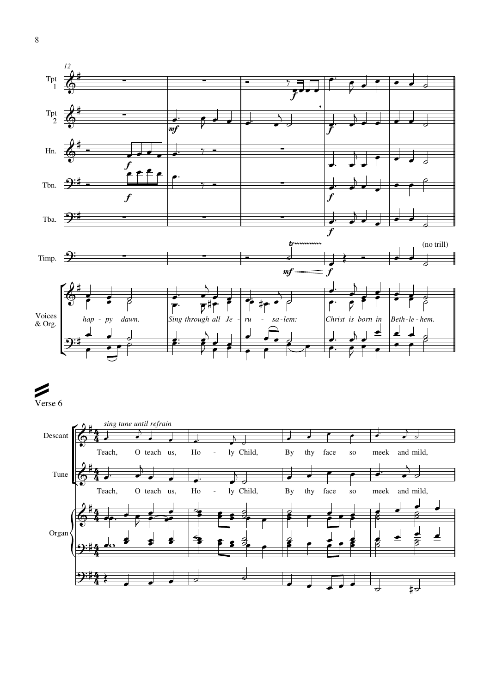

## Verse 6 Þ

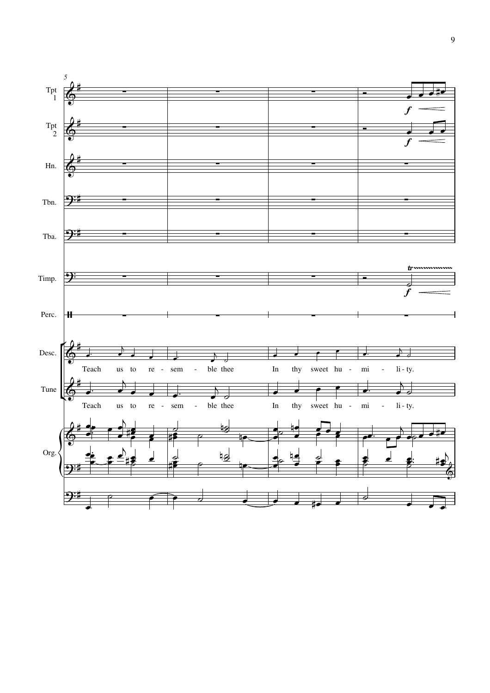